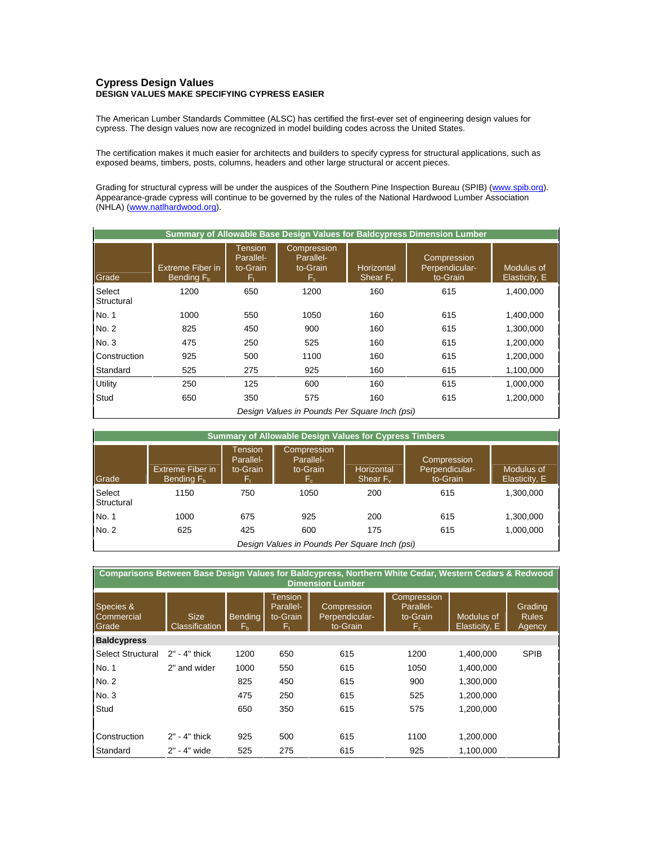## **Cypress Design Values DESIGN VALUES MAKE SPECIFYING CYPRESS EASIER**

The American Lumber Standards Committee (ALSC) has certified the first-ever set of engineering design values for cypress. The design values now are recognized in model building codes across the United States.

The certification makes it much easier for architects and builders to specify cypress for structural applications, such as exposed beams, timbers, posts, columns, headers and other large structural or accent pieces.

Grading for structural cypress will be under the auspices of the Southern Pine Inspection Bureau (SPIB) (www.spib.org). Appearance-grade cypress will continue to be governed by the rules of the National Hardwood Lumber Association (NHLA) (www.natlhardwood.org).

| Summary of Allowable Base Design Values for Baldcypress Dimension Lumber |                                            |                                        |                                            |                           |                                           |                             |  |  |
|--------------------------------------------------------------------------|--------------------------------------------|----------------------------------------|--------------------------------------------|---------------------------|-------------------------------------------|-----------------------------|--|--|
| Grade                                                                    | Extreme Fiber in<br>Bending F <sub>h</sub> | Tension<br>Parallel-<br>to-Grain<br>F٠ | Compression<br>Parallel-<br>to-Grain<br>F. | Horizontal<br>Shear $F_v$ | Compression<br>Perpendicular-<br>to-Grain | Modulus of<br>Elasticity, E |  |  |
| Select<br>Structural                                                     | 1200                                       | 650                                    | 1200                                       | 160                       | 615                                       | 1,400,000                   |  |  |
| No. 1                                                                    | 1000                                       | 550                                    | 1050                                       | 160                       | 615                                       | 1,400,000                   |  |  |
| No. 2                                                                    | 825                                        | 450                                    | 900                                        | 160                       | 615                                       | 1,300,000                   |  |  |
| No. 3                                                                    | 475                                        | 250                                    | 525                                        | 160                       | 615                                       | 1,200,000                   |  |  |
| Construction                                                             | 925                                        | 500                                    | 1100                                       | 160                       | 615                                       | 1,200,000                   |  |  |
| Standard                                                                 | 525                                        | 275                                    | 925                                        | 160                       | 615                                       | 1,100,000                   |  |  |
| Utility                                                                  | 250                                        | 125                                    | 600                                        | 160                       | 615                                       | 1,000,000                   |  |  |
| Stud                                                                     | 650                                        | 350                                    | 575                                        | 160                       | 615                                       | 1,200,000                   |  |  |
| Design Values in Pounds Per Square Inch (psi)                            |                                            |                                        |                                            |                           |                                           |                             |  |  |

| <b>Summary of Allowable Design Values for Cypress Timbers</b> |                                  |                                  |                                            |                           |                                           |                             |  |  |
|---------------------------------------------------------------|----------------------------------|----------------------------------|--------------------------------------------|---------------------------|-------------------------------------------|-----------------------------|--|--|
| Grade                                                         | Extreme Fiber in<br>Bending $Fb$ | Tension<br>Parallel-<br>to-Grain | Compression<br>Parallel-<br>to-Grain<br>F. | Horizontal<br>Shear $F_v$ | Compression<br>Perpendicular-<br>to-Grain | Modulus of<br>Elasticity, E |  |  |
| Select<br>Structural                                          | 1150                             | 750                              | 1050                                       | 200                       | 615                                       | 1,300,000                   |  |  |
| No. 1                                                         | 1000                             | 675                              | 925                                        | 200                       | 615                                       | 1,300,000                   |  |  |
| No. 2                                                         | 625                              | 425                              | 600                                        | 175                       | 615                                       | 1,000,000                   |  |  |
| Design Values in Pounds Per Square Inch (psi)                 |                                  |                                  |                                            |                           |                                           |                             |  |  |

| Comparisons Between Base Design Values for Baldcypress, Northern White Cedar, Western Cedars & Redwood<br><b>Dimension Lumber</b> |                               |                      |                                  |                                           |                                            |                             |                                   |  |
|-----------------------------------------------------------------------------------------------------------------------------------|-------------------------------|----------------------|----------------------------------|-------------------------------------------|--------------------------------------------|-----------------------------|-----------------------------------|--|
| Species &<br>Commercial<br>Grade                                                                                                  | <b>Size</b><br>Classification | <b>Bending</b><br>Fь | Tension<br>Parallel-<br>to-Grain | Compression<br>Perpendicular-<br>to-Grain | Compression<br>Parallel-<br>to-Grain<br>F. | Modulus of<br>Elasticity, E | Grading<br><b>Rules</b><br>Agency |  |
| <b>Baldcypress</b>                                                                                                                |                               |                      |                                  |                                           |                                            |                             |                                   |  |
| <b>Select Structural</b>                                                                                                          | $2" - 4"$ thick               | 1200                 | 650                              | 615                                       | 1200                                       | 1,400,000                   | <b>SPIB</b>                       |  |
| No. 1                                                                                                                             | 2" and wider                  | 1000                 | 550                              | 615                                       | 1050                                       | 1.400.000                   |                                   |  |
| No. 2                                                                                                                             |                               | 825                  | 450                              | 615                                       | 900                                        | 1,300,000                   |                                   |  |
| No. 3                                                                                                                             |                               | 475                  | 250                              | 615                                       | 525                                        | 1,200,000                   |                                   |  |
| Stud                                                                                                                              |                               | 650                  | 350                              | 615                                       | 575                                        | 1,200,000                   |                                   |  |
| Construction                                                                                                                      | $2" - 4"$ thick               | 925                  | 500                              | 615                                       | 1100                                       | 1,200,000                   |                                   |  |
| Standard                                                                                                                          | 2" - 4" wide                  | 525                  | 275                              | 615                                       | 925                                        | 1,100,000                   |                                   |  |